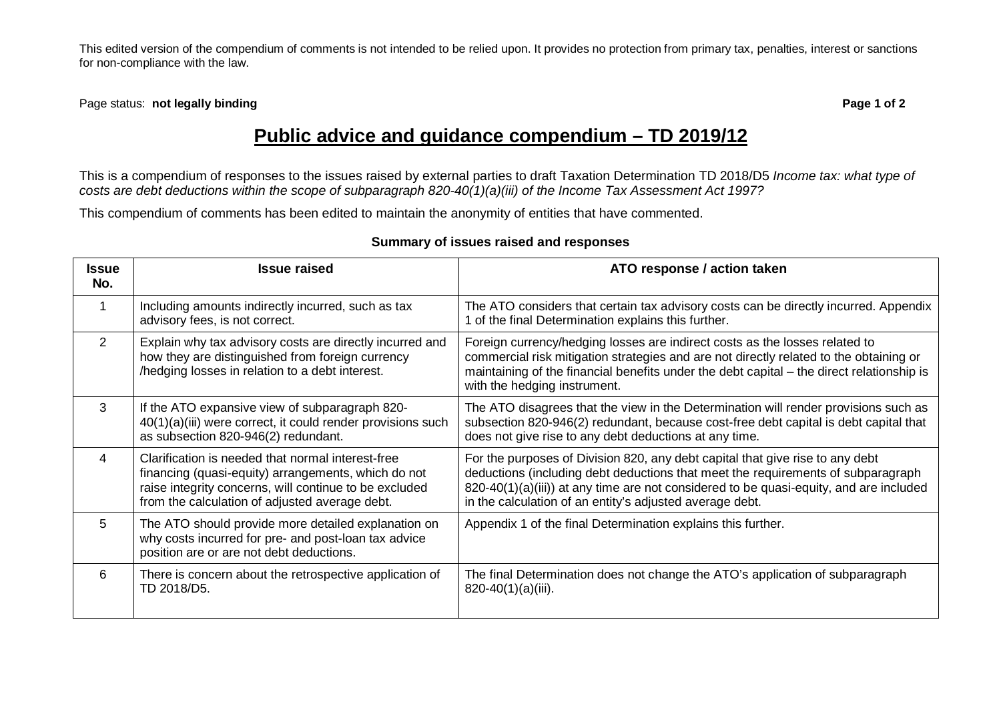This edited version of the compendium of comments is not intended to be relied upon. It provides no protection from primary tax, penalties, interest or sanctions for non-compliance with the law.

Page status: **not legally binding Page 1 of 2**

## **Public advice and guidance compendium – TD 2019/12**

This is a compendium of responses to the issues raised by external parties to draft Taxation Determination TD 2018/D5 *Income tax: what type of costs are debt deductions within the scope of subparagraph 820-40(1)(a)(iii) of the Income Tax Assessment Act 1997?*

This compendium of comments has been edited to maintain the anonymity of entities that have commented.

| <b>Issue</b><br>No. | <b>Issue raised</b>                                                                                                                                                                                                  | ATO response / action taken                                                                                                                                                                                                                                                                                             |
|---------------------|----------------------------------------------------------------------------------------------------------------------------------------------------------------------------------------------------------------------|-------------------------------------------------------------------------------------------------------------------------------------------------------------------------------------------------------------------------------------------------------------------------------------------------------------------------|
|                     | Including amounts indirectly incurred, such as tax<br>advisory fees, is not correct.                                                                                                                                 | The ATO considers that certain tax advisory costs can be directly incurred. Appendix<br>1 of the final Determination explains this further.                                                                                                                                                                             |
| 2                   | Explain why tax advisory costs are directly incurred and<br>how they are distinguished from foreign currency<br>/hedging losses in relation to a debt interest.                                                      | Foreign currency/hedging losses are indirect costs as the losses related to<br>commercial risk mitigation strategies and are not directly related to the obtaining or<br>maintaining of the financial benefits under the debt capital - the direct relationship is<br>with the hedging instrument.                      |
| 3                   | If the ATO expansive view of subparagraph 820-<br>40(1)(a)(iii) were correct, it could render provisions such<br>as subsection 820-946(2) redundant.                                                                 | The ATO disagrees that the view in the Determination will render provisions such as<br>subsection 820-946(2) redundant, because cost-free debt capital is debt capital that<br>does not give rise to any debt deductions at any time.                                                                                   |
| 4                   | Clarification is needed that normal interest-free<br>financing (quasi-equity) arrangements, which do not<br>raise integrity concerns, will continue to be excluded<br>from the calculation of adjusted average debt. | For the purposes of Division 820, any debt capital that give rise to any debt<br>deductions (including debt deductions that meet the requirements of subparagraph<br>820-40(1)(a)(iii)) at any time are not considered to be quasi-equity, and are included<br>in the calculation of an entity's adjusted average debt. |
| 5.                  | The ATO should provide more detailed explanation on<br>why costs incurred for pre- and post-loan tax advice<br>position are or are not debt deductions.                                                              | Appendix 1 of the final Determination explains this further.                                                                                                                                                                                                                                                            |
| 6                   | There is concern about the retrospective application of<br>TD 2018/D5.                                                                                                                                               | The final Determination does not change the ATO's application of subparagraph<br>$820-40(1)(a)(iii)$ .                                                                                                                                                                                                                  |

## **Summary of issues raised and responses**